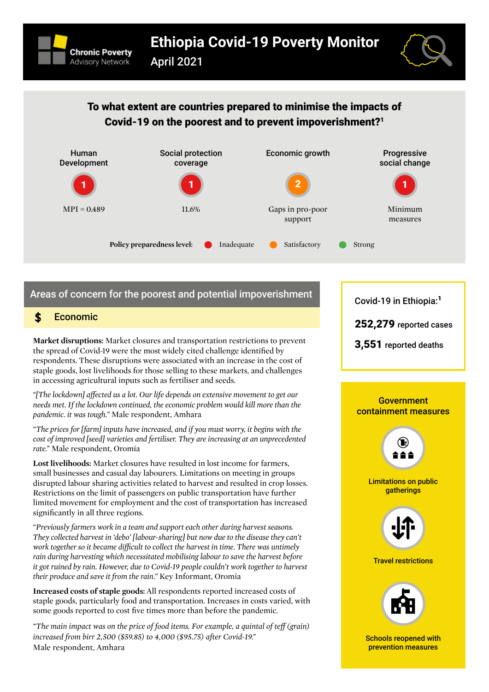



## To what extent are countries prepared to minimise the impacts of Covid-19 on the poorest and to prevent impoverishment[?1](#page-2-0)



# Areas of concern for the poorest and potential impoverishment

## \$

**Market disruptions:** Market closures and transportation restrictions to prevent the spread of Covid-19 were the most widely cited challenge identified by respondents. These disruptions were associated with an increase in the cost of staple goods, lost livelihoods for those selling to these markets, and challenges in accessing agricultural inputs such as fertiliser and seeds.

*"[The lockdown] affected us a lot. Our life depends on extensive movement to get our needs met. If the lockdown continued, the economic problem would kill more than the pandemic. it was tough."* Male respondent, Amhara

*"The prices for [farm] inputs have increased, and if you must worry, it begins with the cost of improved [seed] varieties and fertiliser. They are increasing at an unprecedented rate."* Male respondent, Oromia

**Lost livelihoods:** Market closures have resulted in lost income for farmers, small businesses and casual day labourers. Limitations on meeting in groups disrupted labour sharing activities related to harvest and resulted in crop losses. Restrictions on the limit of passengers on public transportation have further limited movement for employment and the cost of transportation has increased significantly in all three regions.

*"Previously farmers work in a team and support each other during harvest seasons. They collected harvest in 'debo' [labour-sharing] but now due to the disease they can't work together so it became difficult to collect the harvest in time. There was untimely rain during harvesting which necessitated mobilising labour to save the harvest before it got ruined by rain. However, due to Covid-19 people couldn't work together to harvest their produce and save it from the rain."* Key Informant, Oromia

**Increased costs of staple goods:** All respondents reported increased costs of staple goods, particularly food and transportation. Increases in costs varied, with some goods reported to cost five times more than before the pandemic.

*"The main impact was on the price of food items. For example, a quintal of teff (grain) increased from birr 2,500 (\$59.85) to 4,000 (\$95.75) after Covid-19."*  Male respondent, Amhara

Covid-19 in Ethiopia:<sup>1</sup>

Economic 252,279 reported cases

3,551 reported deaths

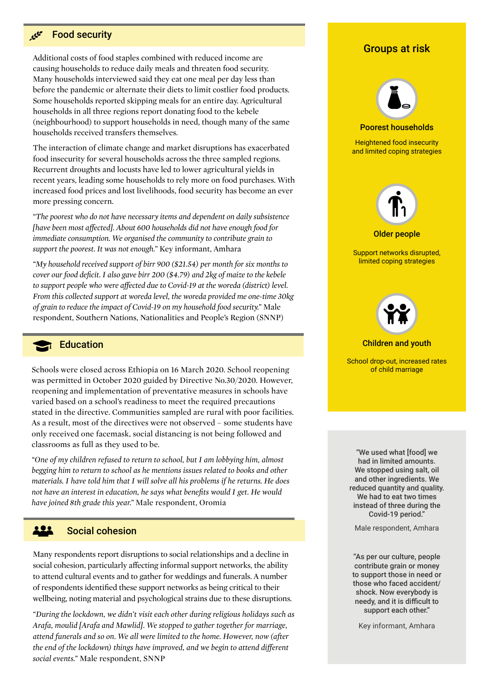#### $\mathcal{L}^{\mathcal{L}^{\sigma}}$ Food security

Additional costs of food staples combined with reduced income are causing households to reduce daily meals and threaten food security. Many households interviewed said they eat one meal per day less than before the pandemic or alternate their diets to limit costlier food products. Some households reported skipping meals for an entire day. Agricultural households in all three regions report donating food to the kebele (neighbourhood) to support households in need, though many of the same households received transfers themselves.

The interaction of climate change and market disruptions has exacerbated food insecurity for several households across the three sampled regions. Recurrent droughts and locusts have led to lower agricultural yields in recent years, leading some households to rely more on food purchases. With increased food prices and lost livelihoods, food security has become an ever more pressing concern.

*"The poorest who do not have necessary items and dependent on daily subsistence [have been most affected]. About 600 households did not have enough food for immediate consumption. We organised the community to contribute grain to support the poorest. It was not enough."* Key informant, Amhara

*"My household received support of birr 900 (\$21.54) per month for six months to cover our food deficit. I also gave birr 200 (\$4.79) and 2kg of maize to the kebele to support people who were affected due to Covid-19 at the woreda (district) level. From this collected support at woreda level, the woreda provided me one-time 30kg of grain to reduce the impact of Covid-19 on my household food security."* Male respondent, Southern Nations, Nationalities and People's Region (SNNP)

#### **R** Education

Schools were closed across Ethiopia on 16 March 2020. School reopening was permitted in October 2020 guided by Directive No.30/2020. However, reopening and implementation of preventative measures in schools have varied based on a school's readiness to meet the required precautions stated in the directive. Communities sampled are rural with poor facilities. As a result, most of the directives were not observed – some students have only received one facemask, social distancing is not being followed and classrooms as full as they used to be.

*"One of my children refused to return to school, but I am lobbying him, almost begging him to return to school as he mentions issues related to books and other materials. I have told him that I will solve all his problems if he returns. He does not have an interest in education, he says what benefits would I get. He would have joined 8th grade this year."* Male respondent, Oromia

#### 222 Social cohesion

Many respondents report disruptions to social relationships and a decline in social cohesion, particularly affecting informal support networks, the ability to attend cultural events and to gather for weddings and funerals. A number of respondents identified these support networks as being critical to their wellbeing, noting material and psychological strains due to these disruptions.

*"During the lockdown, we didn't visit each other during religious holidays such as Arafa, moulid [Arafa and Mawlid]. We stopped to gather together for marriage, attend funerals and so on. We all were limited to the home. However, now (after the end of the lockdown) things have improved, and we begin to attend different social events."* Male respondent, SNNP

### Groups at risk



Older people

Support networks disrupted, limited coping strategies



#### Children and youth

School drop-out, increased rates of child marriage

"We used what [food] we had in limited amounts. We stopped using salt, oil and other ingredients. We reduced quantity and quality. We had to eat two times instead of three during the Covid-19 period."

Male respondent, Amhara

"As per our culture, people contribute grain or money to support those in need or those who faced accident/ shock. Now everybody is needy, and it is difficult to support each other."

Key informant, Amhara